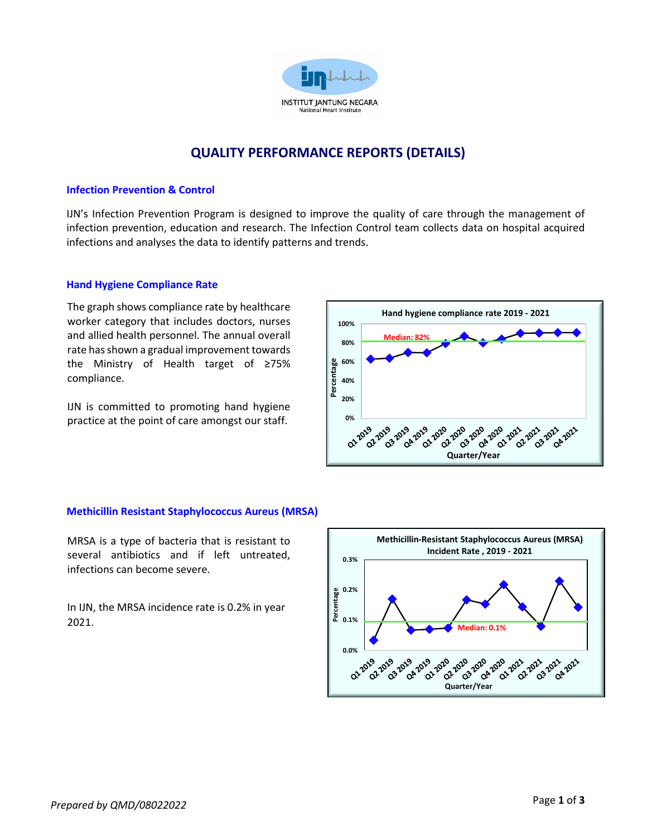

# **QUALITY PERFORMANCE REPORTS (DETAILS)**

### **Infection Prevention & Control**

IJN's Infection Prevention Program is designed to improve the quality of care through the management of infection prevention, education and research. The Infection Control team collects data on hospital acquired infections and analyses the data to identify patterns and trends.

# **Hand Hygiene Compliance Rate**

 The graph shows compliance rate by healthcare worker category that includes doctors, nurses and allied health personnel. The annual overall rate has shown a gradual improvement towards the Ministry of Health target of ≥75% compliance.

IJN is committed to promoting hand hygiene practice at the point of care amongst our staff.



### **Methicillin Resistant Staphylococcus Aureus (MRSA)**

 MRSA is a type of bacteria that is resistant to several antibiotics and if left untreated, infections can become severe.

In IJN, the MRSA incidence rate is 0.2% in year 2021.

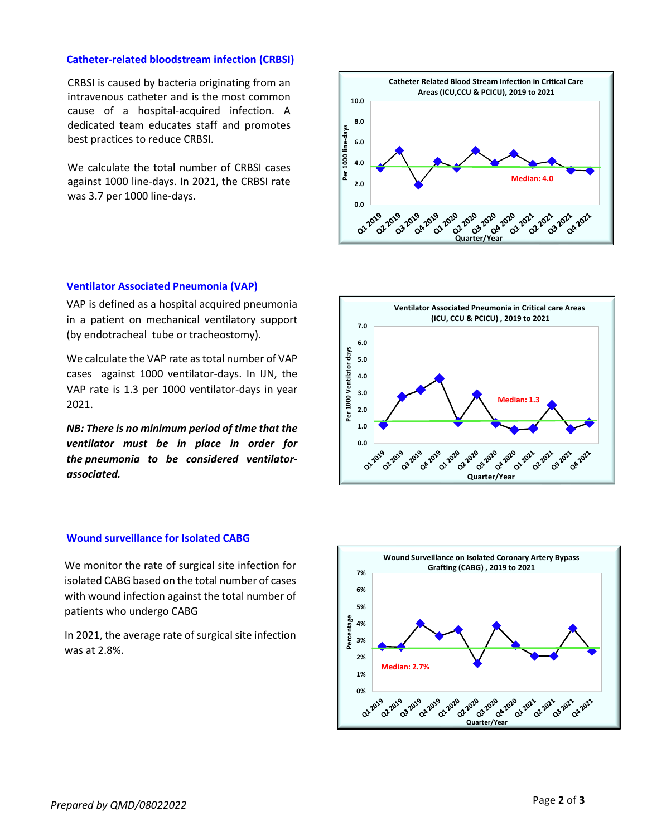### **Catheter-related bloodstream infection (CRBSI)**

 $\overline{\phantom{a}}$  CRBSI is caused by bacteria originating from an intravenous catheter and is the most common cause of a hospital-acquired infection. A dedicated team educates staff and promotes best practices to reduce CRBSI.

We calculate the total number of CRBSI cases against 1000 line-days. In 2021, the CRBSI rate was 3.7 per 1000 line-days.



#### **Ventilator Associated Pneumonia (VAP)**

 VAP is defined as a hospital acquired pneumonia in a patient on mechanical ventilatory support (by endotracheal tube or tracheostomy).

We calculate the VAP rate as total number of VAP cases against 1000 ventilator-days. In IJN, the VAP rate is 1.3 per 1000 ventilator-days in year 2021.

*NB: There is no minimum period of time that the ventilator must be in place in order for the pneumonia to be considered ventilatorassociated.*



### **Wound surveillance for Isolated CABG**

We monitor the rate of surgical site infection for isolated CABG based on the total number of cases with wound infection against the total number of patients who undergo CABG

In 2021, the average rate of surgical site infection was at 2.8%.